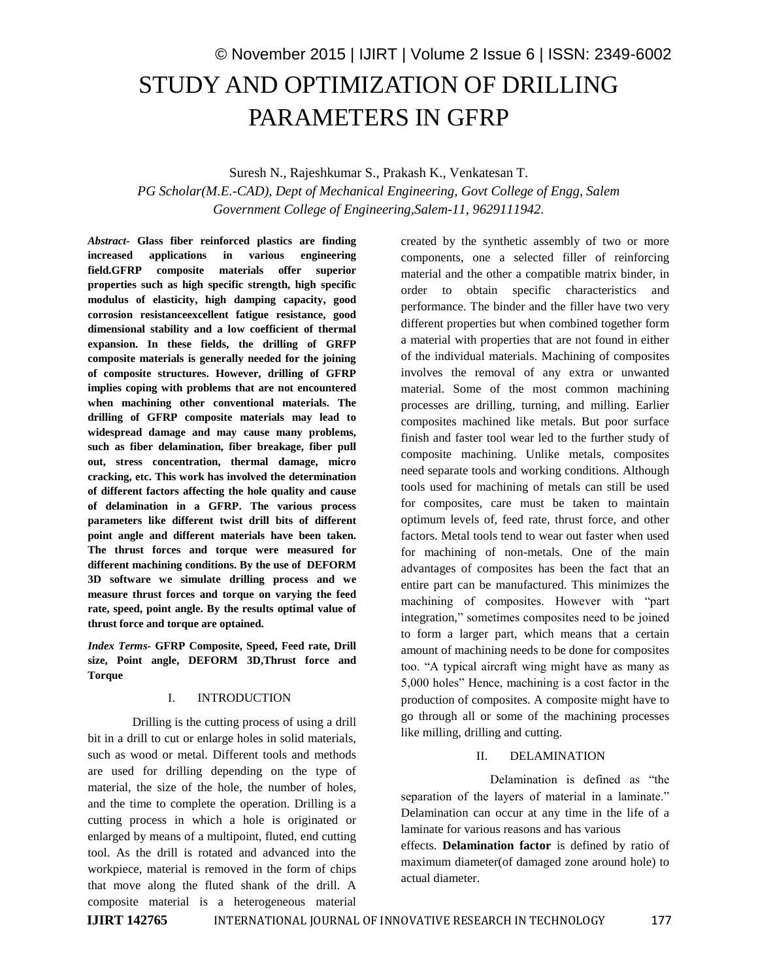# © November 2015 | IJIRT | Volume 2 Issue 6 | ISSN: 2349-6002 STUDY AND OPTIMIZATION OF DRILLING PARAMETERS IN GFRP

Suresh N., Rajeshkumar S., Prakash K., Venkatesan T.

*PG Scholar(M.E.-CAD), Dept of Mechanical Engineering, Govt College of Engg, Salem Government College of Engineering,Salem-11, 9629111942.*

*Abstract-* **Glass fiber reinforced plastics are finding increased applications in various engineering field.GFRP composite materials offer superior properties such as high specific strength, high specific modulus of elasticity, high damping capacity, good corrosion resistanceexcellent fatigue resistance, good dimensional stability and a low coefficient of thermal expansion. In these fields, the drilling of GRFP composite materials is generally needed for the joining of composite structures. However, drilling of GFRP implies coping with problems that are not encountered when machining other conventional materials. The drilling of GFRP composite materials may lead to widespread damage and may cause many problems, such as fiber delamination, fiber breakage, fiber pull out, stress concentration, thermal damage, micro cracking, etc. This work has involved the determination of different factors affecting the hole quality and cause of delamination in a GFRP. The various process parameters like different twist drill bits of different point angle and different materials have been taken. The thrust forces and torque were measured for different machining conditions. By the use of DEFORM 3D software we simulate drilling process and we measure thrust forces and torque on varying the feed rate, speed, point angle. By the results optimal value of thrust force and torque are optained.**

*Index Terms-* **GFRP Composite, Speed, Feed rate, Drill size, Point angle, DEFORM 3D,Thrust force and Torque**

#### I. INTRODUCTION

Drilling is the cutting process of using a drill bit in a drill to cut or enlarge holes in solid materials, such as wood or metal. Different tools and methods are used for drilling depending on the type of material, the size of the hole, the number of holes, and the time to complete the operation. Drilling is a cutting process in which a hole is originated or enlarged by means of a multipoint, fluted, end cutting tool. As the drill is rotated and advanced into the workpiece, material is removed in the form of chips that move along the fluted shank of the drill. A composite material is a heterogeneous material created by the synthetic assembly of two or more components, one a selected filler of reinforcing material and the other a compatible matrix binder, in order to obtain specific characteristics and performance. The binder and the filler have two very different properties but when combined together form a material with properties that are not found in either of the individual materials. Machining of composites involves the removal of any extra or unwanted material. Some of the most common machining processes are drilling, turning, and milling. Earlier composites machined like metals. But poor surface finish and faster tool wear led to the further study of composite machining. Unlike metals, composites need separate tools and working conditions. Although tools used for machining of metals can still be used for composites, care must be taken to maintain optimum levels of, feed rate, thrust force, and other factors. Metal tools tend to wear out faster when used for machining of non-metals. One of the main advantages of composites has been the fact that an entire part can be manufactured. This minimizes the machining of composites. However with "part integration," sometimes composites need to be joined to form a larger part, which means that a certain amount of machining needs to be done for composites too. "A typical aircraft wing might have as many as 5,000 holes" Hence, machining is a cost factor in the production of composites. A composite might have to go through all or some of the machining processes like milling, drilling and cutting.

# II. DELAMINATION

Delamination is defined as "the separation of the layers of material in a laminate." Delamination can occur at any time in the life of a laminate for various reasons and has various

effects. **Delamination factor** is defined by ratio of maximum diameter(of damaged zone around hole) to actual diameter.

**IJIRT 142765** INTERNATIONAL JOURNAL OF INNOVATIVE RESEARCH IN TECHNOLOGY 177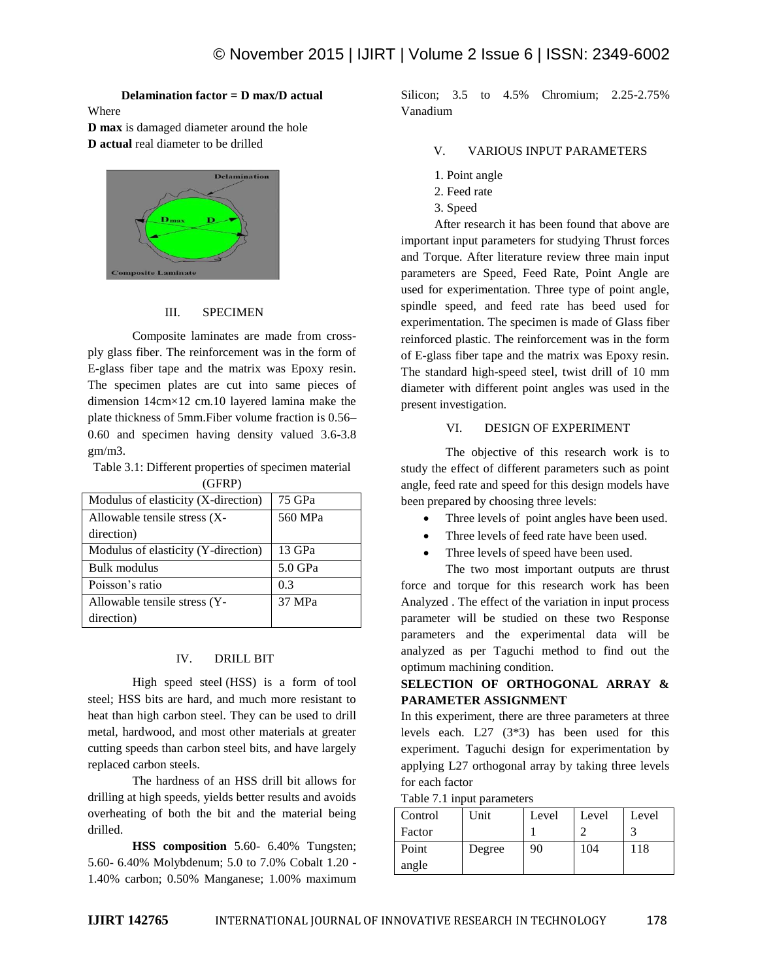**Delamination factor = D max/D actual**

Where

**D max** is damaged diameter around the hole **D actual** real diameter to be drilled



## III. SPECIMEN

Composite laminates are made from crossply glass fiber. The reinforcement was in the form of E-glass fiber tape and the matrix was Epoxy resin. The specimen plates are cut into same pieces of dimension 14cm×12 cm.10 layered lamina make the plate thickness of 5mm.Fiber volume fraction is 0.56– 0.60 and specimen having density valued 3.6-3.8 gm/m3.

Table 3.1: Different properties of specimen material (GFRP)

| 75 GPa  |
|---------|
| 560 MPa |
|         |
| 13 GPa  |
| 5.0 GPa |
| 0.3     |
| 37 MPa  |
|         |
|         |

#### IV. DRILL BIT

High speed steel (HSS) is a form of tool steel; HSS bits are hard, and much more resistant to heat than high carbon steel. They can be used to drill metal, hardwood, and most other materials at greater cutting speeds than carbon steel bits, and have largely replaced carbon steels.

The hardness of an HSS drill bit allows for drilling at high speeds, yields better results and avoids overheating of both the bit and the material being drilled.

**HSS composition** 5.60- 6.40% Tungsten; 5.60- 6.40% Molybdenum; 5.0 to 7.0% Cobalt 1.20 - 1.40% carbon; 0.50% Manganese; 1.00% maximum

Silicon; 3.5 to 4.5% Chromium; 2.25-2.75% Vanadium

# V. VARIOUS INPUT PARAMETERS

- 1. Point angle
- 2. Feed rate
- 3. Speed

After research it has been found that above are important input parameters for studying Thrust forces and Torque. After literature review three main input parameters are Speed, Feed Rate, Point Angle are used for experimentation. Three type of point angle, spindle speed, and feed rate has beed used for experimentation. The specimen is made of Glass fiber reinforced plastic. The reinforcement was in the form of E-glass fiber tape and the matrix was Epoxy resin. The standard high-speed steel, twist drill of 10 mm diameter with different point angles was used in the present investigation.

## VI. DESIGN OF EXPERIMENT

The objective of this research work is to study the effect of different parameters such as point angle, feed rate and speed for this design models have been prepared by choosing three levels:

- Three levels of point angles have been used.
- Three levels of feed rate have been used.
- Three levels of speed have been used.
- The two most important outputs are thrust

force and torque for this research work has been Analyzed . The effect of the variation in input process parameter will be studied on these two Response parameters and the experimental data will be analyzed as per Taguchi method to find out the optimum machining condition.

# **SELECTION OF ORTHOGONAL ARRAY & PARAMETER ASSIGNMENT**

In this experiment, there are three parameters at three levels each. L27 (3\*3) has been used for this experiment. Taguchi design for experimentation by applying L27 orthogonal array by taking three levels for each factor

Table 7.1 input parameters

| Control | Unit   | Level | Level | Level |
|---------|--------|-------|-------|-------|
| Factor  |        |       |       |       |
| Point   | Degree | 90    | 104   | 118   |
| angle   |        |       |       |       |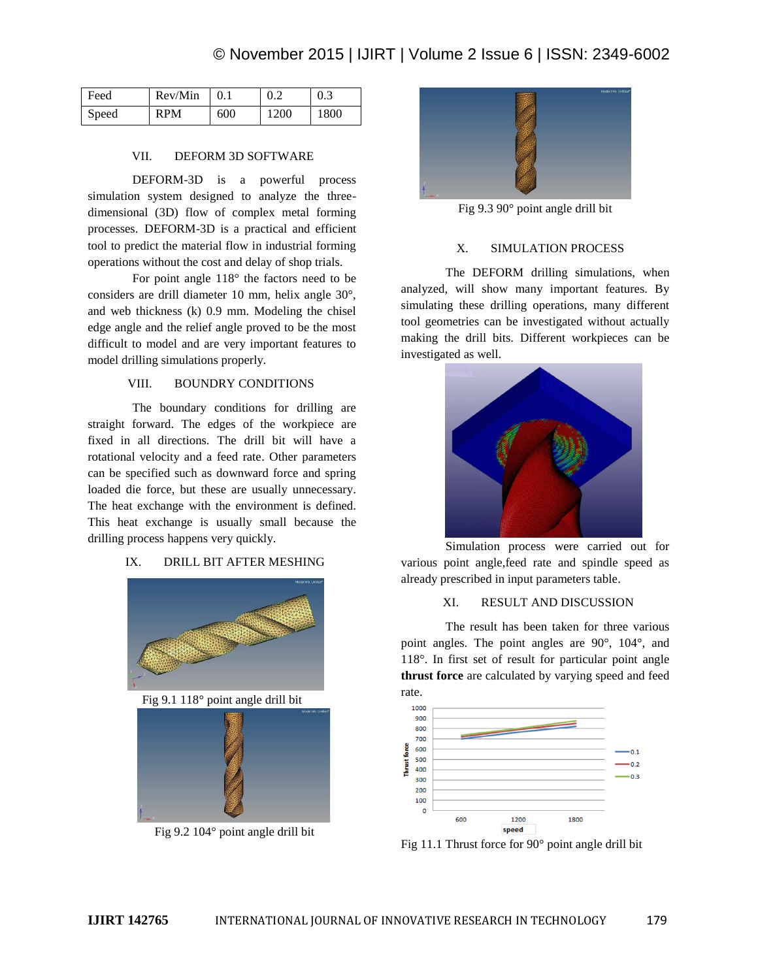| Feed  | Rev/Min    | 0.1 | 0.2  | 0.3  |
|-------|------------|-----|------|------|
| Speed | <b>RPM</b> | 600 | 1200 | 1800 |

#### VII. DEFORM 3D SOFTWARE

DEFORM-3D is a powerful process simulation system designed to analyze the threedimensional (3D) flow of complex metal forming processes. DEFORM-3D is a practical and efficient tool to predict the material flow in industrial forming operations without the cost and delay of shop trials.

For point angle 118° the factors need to be considers are drill diameter 10 mm, helix angle 30°, and web thickness (k) 0.9 mm. Modeling the chisel edge angle and the relief angle proved to be the most difficult to model and are very important features to model drilling simulations properly.

#### VIII. BOUNDRY CONDITIONS

The boundary conditions for drilling are straight forward. The edges of the workpiece are fixed in all directions. The drill bit will have a rotational velocity and a feed rate. Other parameters can be specified such as downward force and spring loaded die force, but these are usually unnecessary. The heat exchange with the environment is defined. This heat exchange is usually small because the drilling process happens very quickly.

# IX. DRILL BIT AFTER MESHING





Fig 9.2 104° point angle drill bit



Fig 9.3 90° point angle drill bit

## X. SIMULATION PROCESS

The DEFORM drilling simulations, when analyzed, will show many important features. By simulating these drilling operations, many different tool geometries can be investigated without actually making the drill bits. Different workpieces can be investigated as well.



Simulation process were carried out for various point angle,feed rate and spindle speed as already prescribed in input parameters table.

## XI. RESULT AND DISCUSSION

The result has been taken for three various point angles. The point angles are 90°, 104°, and 118°. In first set of result for particular point angle **thrust force** are calculated by varying speed and feed rate.



Fig 11.1 Thrust force for 90° point angle drill bit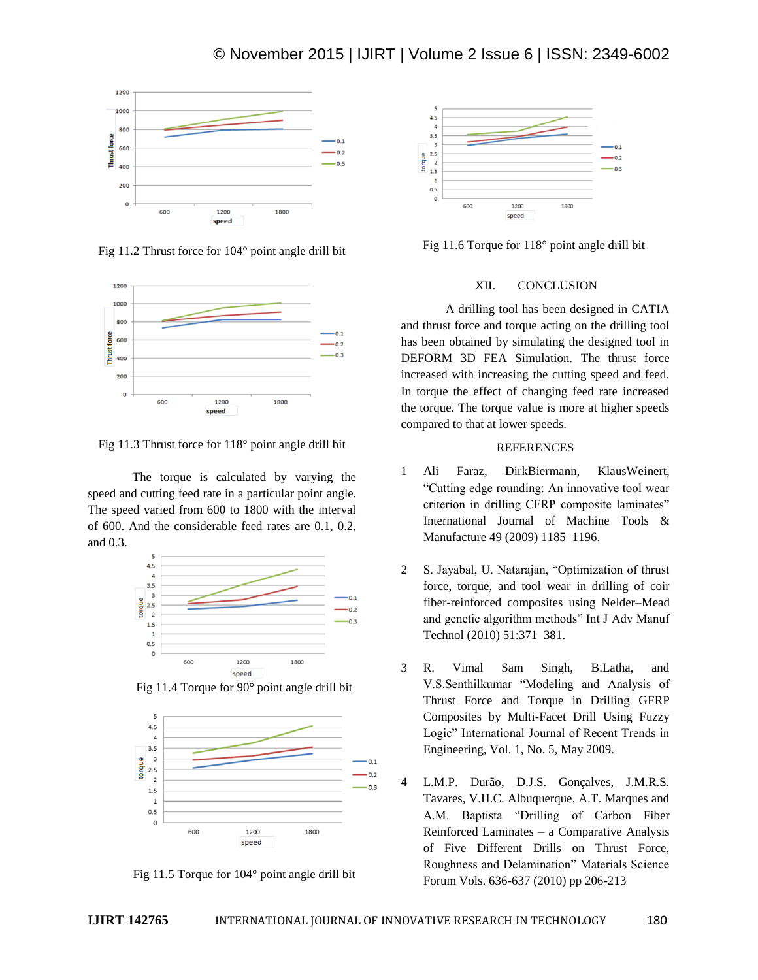

Fig 11.2 Thrust force for 104° point angle drill bit



Fig 11.3 Thrust force for 118° point angle drill bit

The torque is calculated by varying the speed and cutting feed rate in a particular point angle. The speed varied from 600 to 1800 with the interval of 600. And the considerable feed rates are 0.1, 0.2, and 0.3.



Fig 11.4 Torque for 90° point angle drill bit







Fig 11.6 Torque for 118° point angle drill bit

# XII. CONCLUSION

A drilling tool has been designed in CATIA and thrust force and torque acting on the drilling tool has been obtained by simulating the designed tool in DEFORM 3D FEA Simulation. The thrust force increased with increasing the cutting speed and feed. In torque the effect of changing feed rate increased the torque. The torque value is more at higher speeds compared to that at lower speeds.

# **REFERENCES**

- 1 Ali Faraz, DirkBiermann, KlausWeinert, "Cutting edge rounding: An innovative tool wear criterion in drilling CFRP composite laminates" International Journal of Machine Tools & Manufacture 49 (2009) 1185–1196.
- 2 S. Jayabal, U. Natarajan, "Optimization of thrust force, torque, and tool wear in drilling of coir fiber-reinforced composites using Nelder–Mead and genetic algorithm methods" Int J Adv Manuf Technol (2010) 51:371–381.
- 3 R. Vimal Sam Singh, B.Latha, and V.S.Senthilkumar "Modeling and Analysis of Thrust Force and Torque in Drilling GFRP Composites by Multi-Facet Drill Using Fuzzy Logic" International Journal of Recent Trends in Engineering, Vol. 1, No. 5, May 2009.
- 4 L.M.P. Durão, D.J.S. Gonçalves, J.M.R.S. Tavares, V.H.C. Albuquerque, A.T. Marques and A.M. Baptista "Drilling of Carbon Fiber Reinforced Laminates – a Comparative Analysis of Five Different Drills on Thrust Force, Roughness and Delamination" Materials Science Forum Vols. 636-637 (2010) pp 206-213